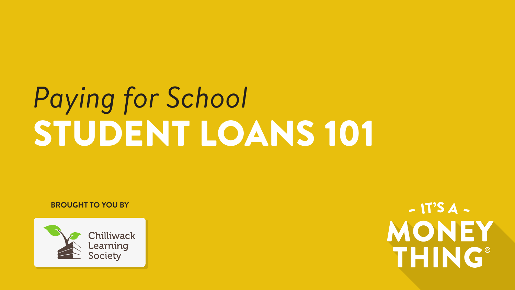# *Paying for School* STUDENT LOANS 101

**BROUGHT TO YOU BY**



 $-$  IT'S  $A -$ MONEY **THING®**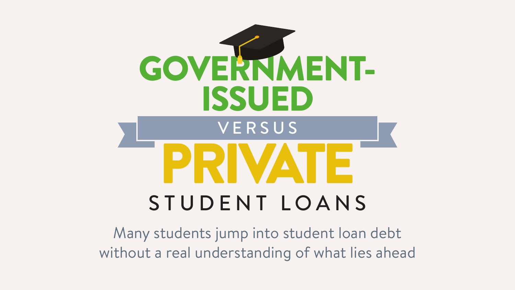

Many students jump into student loan debt without a real understanding of what lies ahead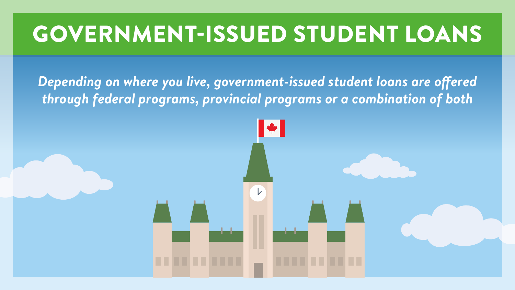# GOVERNMENT-ISSUED STUDENT LOANS

*Depending on where you live, government-issued student loans are offered through federal programs, provincial programs or a combination of both*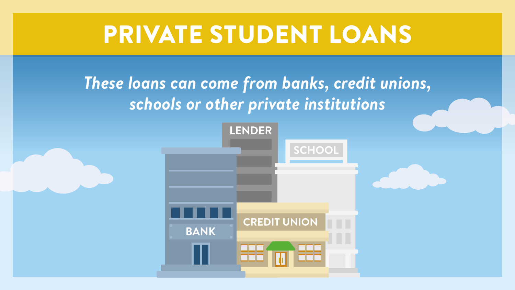# PRIVATE STUDENT LOANS

### *These loans can come from banks, credit unions, schools or other private institutions*

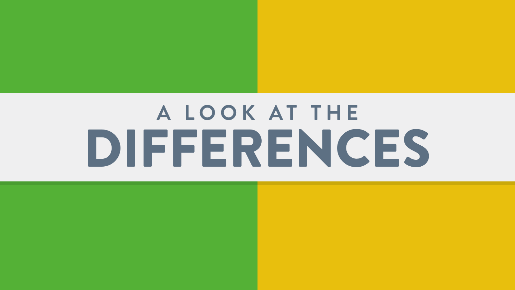# **A L O O K A T T H E**  DIFFERENCES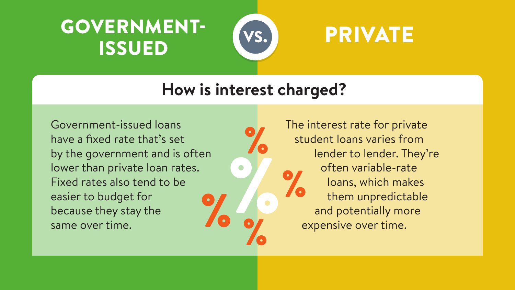# GOVERNMENT-**ISSUED (VS.) PRIVATE**



### **How is interest charged?**

Government-issued loans have a fixed rate that's set by the government and is often lower than private loan rates. Fixed rates also tend to be easier to budget for because they stay the same over time.

The interest rate for private student loans varies from lender to lender. They're often variable-rate loans, which makes them unpredictable and potentially more expensive over time.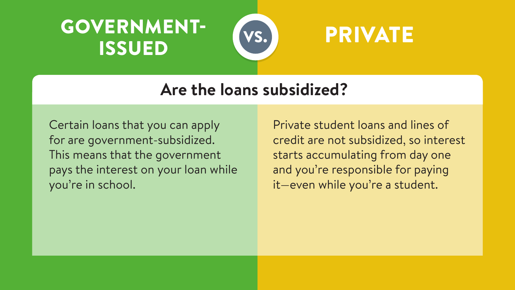# GOVERNMENT- (vs.) PRIVATE ISSUED



#### **Are the loans subsidized?**

Certain loans that you can apply for are government-subsidized. This means that the government pays the interest on your loan while you're in school.

Private student loans and lines of credit are not subsidized, so interest starts accumulating from day one and you're responsible for paying it—even while you're a student.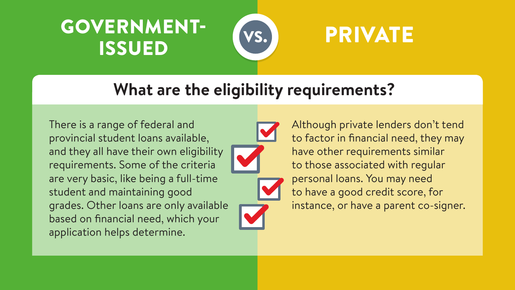# GOVERNMENT- VS. PRIVATE ISSUED



### **What are the eligibility requirements?**

There is a range of federal and provincial student loans available, and they all have their own eligibility requirements. Some of the criteria are very basic, like being a full-time student and maintaining good grades. Other loans are only available based on financial need, which your application helps determine.



Although private lenders don't tend to factor in financial need, they may have other requirements similar to those associated with regular personal loans. You may need to have a good credit score, for instance, or have a parent co-signer.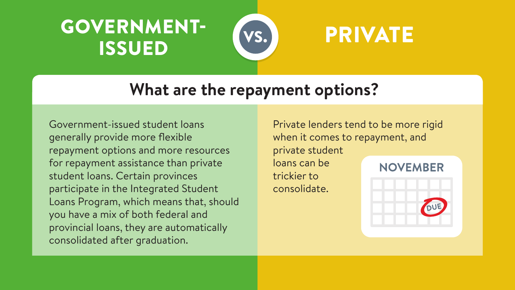# GOVERNMENT-ISSUED



# PRIVATE

### **What are the repayment options?**

Government-issued student loans generally provide more flexible repayment options and more resources for repayment assistance than private student loans. Certain provinces participate in the Integrated Student Loans Program, which means that, should you have a mix of both federal and provincial loans, they are automatically consolidated after graduation.

Private lenders tend to be more rigid when it comes to repayment, and private student loans can be **NOVEMBER** trickier to consolidate.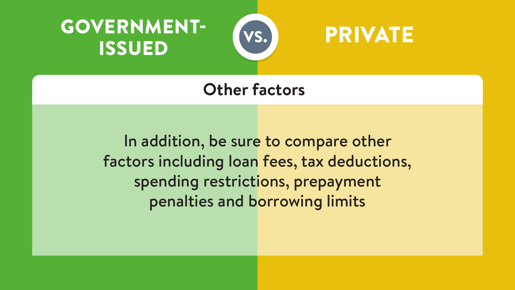





#### **Other factors**

In addition, be sure to compare other factors including loan fees, tax deductions, spending restrictions, prepayment penalties and borrowing limits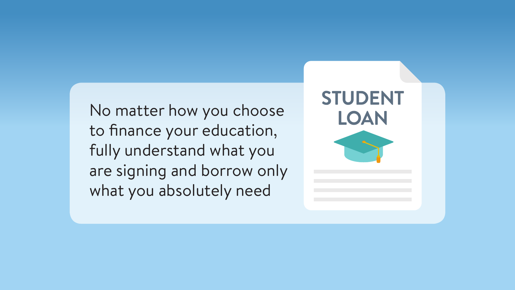No matter how you choose to finance your education, fully understand what you are signing and borrow only what you absolutely need